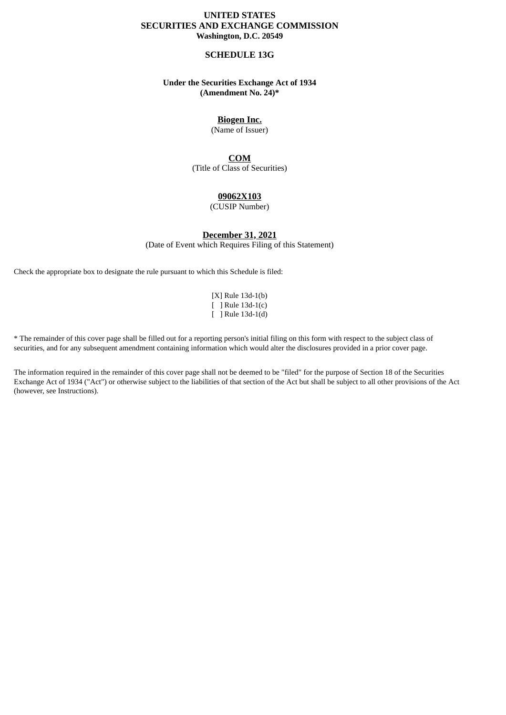## **UNITED STATES SECURITIES AND EXCHANGE COMMISSION Washington, D.C. 20549**

### **SCHEDULE 13G**

## **Under the Securities Exchange Act of 1934 (Amendment No. 24)\***

# **Biogen Inc.**

(Name of Issuer)

# **COM**

(Title of Class of Securities)

## **09062X103**

(CUSIP Number)

**December 31, 2021**

(Date of Event which Requires Filing of this Statement)

Check the appropriate box to designate the rule pursuant to which this Schedule is filed:

[X] Rule 13d-1(b) [ ] Rule 13d-1(c) [ ] Rule 13d-1(d)

\* The remainder of this cover page shall be filled out for a reporting person's initial filing on this form with respect to the subject class of securities, and for any subsequent amendment containing information which would alter the disclosures provided in a prior cover page.

The information required in the remainder of this cover page shall not be deemed to be "filed" for the purpose of Section 18 of the Securities Exchange Act of 1934 ("Act") or otherwise subject to the liabilities of that section of the Act but shall be subject to all other provisions of the Act (however, see Instructions).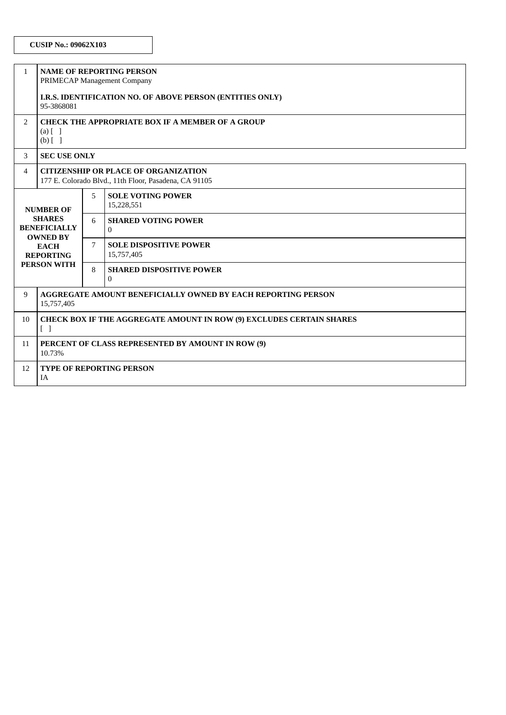| $\mathbf{1}$                                                                                                                         | <b>NAME OF REPORTING PERSON</b><br>PRIMECAP Management Company                                       |   |                                                   |  |  |  |
|--------------------------------------------------------------------------------------------------------------------------------------|------------------------------------------------------------------------------------------------------|---|---------------------------------------------------|--|--|--|
|                                                                                                                                      | I.R.S. IDENTIFICATION NO. OF ABOVE PERSON (ENTITIES ONLY)<br>95-3868081                              |   |                                                   |  |  |  |
| $\overline{2}$                                                                                                                       | CHECK THE APPROPRIATE BOX IF A MEMBER OF A GROUP<br>$(a)$ $\lceil$ $\rceil$<br>$(b)$ []              |   |                                                   |  |  |  |
| 3                                                                                                                                    | <b>SEC USE ONLY</b>                                                                                  |   |                                                   |  |  |  |
| $\overline{4}$                                                                                                                       | <b>CITIZENSHIP OR PLACE OF ORGANIZATION</b><br>177 E. Colorado Blvd., 11th Floor, Pasadena, CA 91105 |   |                                                   |  |  |  |
| <b>NUMBER OF</b><br><b>SHARES</b><br><b>BENEFICIALLY</b><br><b>OWNED BY</b><br><b>EACH</b><br><b>REPORTING</b><br><b>PERSON WITH</b> |                                                                                                      | 5 | <b>SOLE VOTING POWER</b><br>15,228,551            |  |  |  |
|                                                                                                                                      |                                                                                                      | 6 | <b>SHARED VOTING POWER</b><br>$\Omega$            |  |  |  |
|                                                                                                                                      |                                                                                                      | 7 | <b>SOLE DISPOSITIVE POWER</b><br>15,757,405       |  |  |  |
|                                                                                                                                      |                                                                                                      | 8 | <b>SHARED DISPOSITIVE POWER</b><br>$\overline{0}$ |  |  |  |
| 9                                                                                                                                    | <b>AGGREGATE AMOUNT BENEFICIALLY OWNED BY EACH REPORTING PERSON</b><br>15,757,405                    |   |                                                   |  |  |  |
| 10                                                                                                                                   | <b>CHECK BOX IF THE AGGREGATE AMOUNT IN ROW (9) EXCLUDES CERTAIN SHARES</b><br>$\lceil \; \rceil$    |   |                                                   |  |  |  |
| 11                                                                                                                                   | PERCENT OF CLASS REPRESENTED BY AMOUNT IN ROW (9)<br>10.73%                                          |   |                                                   |  |  |  |
| 12                                                                                                                                   | <b>TYPE OF REPORTING PERSON</b><br><b>IA</b>                                                         |   |                                                   |  |  |  |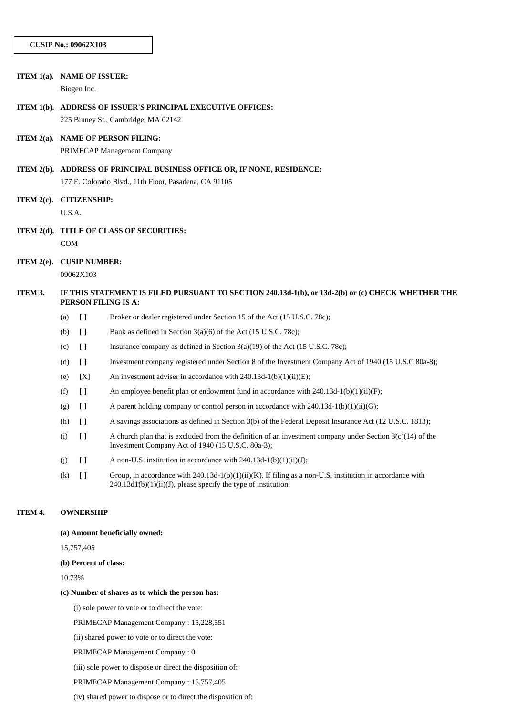|               | ITEM 1(a). NAME OF ISSUER:                                                                                               |                                        |                                                                                                                                                                            |  |  |  |
|---------------|--------------------------------------------------------------------------------------------------------------------------|----------------------------------------|----------------------------------------------------------------------------------------------------------------------------------------------------------------------------|--|--|--|
|               |                                                                                                                          | Biogen Inc.                            |                                                                                                                                                                            |  |  |  |
| ITEM $1(b)$ . | ADDRESS OF ISSUER'S PRINCIPAL EXECUTIVE OFFICES:                                                                         |                                        |                                                                                                                                                                            |  |  |  |
|               |                                                                                                                          |                                        | 225 Binney St., Cambridge, MA 02142                                                                                                                                        |  |  |  |
| ITEM $2(a)$ . |                                                                                                                          |                                        | <b>NAME OF PERSON FILING:</b>                                                                                                                                              |  |  |  |
|               |                                                                                                                          |                                        | PRIMECAP Management Company                                                                                                                                                |  |  |  |
|               | ITEM 2(b). ADDRESS OF PRINCIPAL BUSINESS OFFICE OR, IF NONE, RESIDENCE:                                                  |                                        |                                                                                                                                                                            |  |  |  |
|               |                                                                                                                          |                                        | 177 E. Colorado Blvd., 11th Floor, Pasadena, CA 91105                                                                                                                      |  |  |  |
| ITEM $2(c)$ . | <b>CITIZENSHIP:</b>                                                                                                      |                                        |                                                                                                                                                                            |  |  |  |
|               | U.S.A.                                                                                                                   |                                        |                                                                                                                                                                            |  |  |  |
| ITEM $2(d)$ . | <b>TITLE OF CLASS OF SECURITIES:</b>                                                                                     |                                        |                                                                                                                                                                            |  |  |  |
|               | <b>COM</b>                                                                                                               |                                        |                                                                                                                                                                            |  |  |  |
| ITEM $2(e)$ . | <b>CUSIP NUMBER:</b>                                                                                                     |                                        |                                                                                                                                                                            |  |  |  |
|               |                                                                                                                          | 09062X103                              |                                                                                                                                                                            |  |  |  |
| ITEM 3.       | IF THIS STATEMENT IS FILED PURSUANT TO SECTION 240.13d-1(b), or 13d-2(b) or (c) CHECK WHETHER THE<br>PERSON FILING IS A: |                                        |                                                                                                                                                                            |  |  |  |
|               | (a)                                                                                                                      | $\lceil$                               | Broker or dealer registered under Section 15 of the Act (15 U.S.C. 78c);                                                                                                   |  |  |  |
|               | (b)                                                                                                                      | $\begin{array}{c} \square \end{array}$ | Bank as defined in Section 3(a)(6) of the Act (15 U.S.C. 78c);                                                                                                             |  |  |  |
|               | (c)                                                                                                                      | $\lceil$                               | Insurance company as defined in Section $3(a)(19)$ of the Act $(15 \text{ U.S.C. } 78c)$ ;                                                                                 |  |  |  |
|               | (d)                                                                                                                      | $\lceil$                               | Investment company registered under Section 8 of the Investment Company Act of 1940 (15 U.S.C 80a-8);                                                                      |  |  |  |
|               | (e)                                                                                                                      | [X]                                    | An investment adviser in accordance with $240.13d-1(b)(1)(ii)(E)$ ;                                                                                                        |  |  |  |
|               | (f)                                                                                                                      | $[ \ ]$                                | An employee benefit plan or endowment fund in accordance with 240.13d-1(b)(1)(ii)(F);                                                                                      |  |  |  |
|               | (g)                                                                                                                      | $\lceil$                               | A parent holding company or control person in accordance with $240.13d-1(b)(1)(ii)(G)$ ;                                                                                   |  |  |  |
|               | (h)                                                                                                                      | $\lceil$                               | A savings associations as defined in Section 3(b) of the Federal Deposit Insurance Act (12 U.S.C. 1813);                                                                   |  |  |  |
|               | (i)                                                                                                                      | $[ \ ]$                                | A church plan that is excluded from the definition of an investment company under Section $3(c)(14)$ of the<br>Investment Company Act of 1940 (15 U.S.C. 80a-3);           |  |  |  |
|               | (j)                                                                                                                      | $\lceil$                               | A non-U.S. institution in accordance with $240.13d-1(b)(1)(ii)(J);$                                                                                                        |  |  |  |
|               | (k)                                                                                                                      | $[ \ ]$                                | Group, in accordance with 240.13d-1(b)(1)(ii)(K). If filing as a non-U.S. institution in accordance with<br>240.13d1(b)(1)(ii)(J), please specify the type of institution: |  |  |  |
| ITEM 4.       | <b>OWNERSHIP</b>                                                                                                         |                                        |                                                                                                                                                                            |  |  |  |
|               | (a) Amount beneficially owned:                                                                                           |                                        |                                                                                                                                                                            |  |  |  |

15,757,405

#### **(b) Percent of class:**

10.73%

#### **(c) Number of shares as to which the person has:**

(i) sole power to vote or to direct the vote:

PRIMECAP Management Company : 15,228,551

(ii) shared power to vote or to direct the vote:

PRIMECAP Management Company : 0

(iii) sole power to dispose or direct the disposition of:

PRIMECAP Management Company : 15,757,405

(iv) shared power to dispose or to direct the disposition of: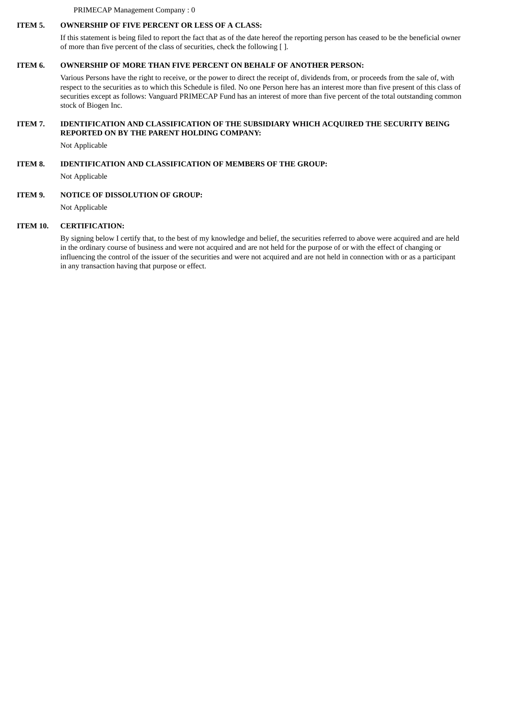PRIMECAP Management Company : 0

# **ITEM 5. OWNERSHIP OF FIVE PERCENT OR LESS OF A CLASS:**

If this statement is being filed to report the fact that as of the date hereof the reporting person has ceased to be the beneficial owner of more than five percent of the class of securities, check the following [ ].

### **ITEM 6. OWNERSHIP OF MORE THAN FIVE PERCENT ON BEHALF OF ANOTHER PERSON:**

Various Persons have the right to receive, or the power to direct the receipt of, dividends from, or proceeds from the sale of, with respect to the securities as to which this Schedule is filed. No one Person here has an interest more than five present of this class of securities except as follows: Vanguard PRIMECAP Fund has an interest of more than five percent of the total outstanding common stock of Biogen Inc.

### **ITEM 7. IDENTIFICATION AND CLASSIFICATION OF THE SUBSIDIARY WHICH ACQUIRED THE SECURITY BEING REPORTED ON BY THE PARENT HOLDING COMPANY:**

Not Applicable

### **ITEM 8. IDENTIFICATION AND CLASSIFICATION OF MEMBERS OF THE GROUP:**

Not Applicable

#### **ITEM 9. NOTICE OF DISSOLUTION OF GROUP:**

Not Applicable

#### **ITEM 10. CERTIFICATION:**

By signing below I certify that, to the best of my knowledge and belief, the securities referred to above were acquired and are held in the ordinary course of business and were not acquired and are not held for the purpose of or with the effect of changing or influencing the control of the issuer of the securities and were not acquired and are not held in connection with or as a participant in any transaction having that purpose or effect.